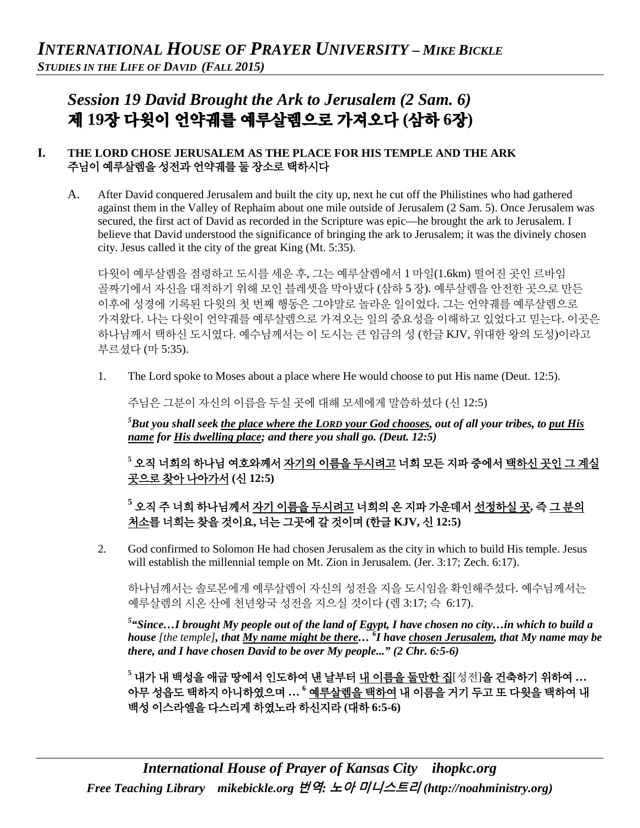# *Session 19 David Brought the Ark to Jerusalem (2 Sam. 6)*  제 **19**장 다윗이 언약궤를 예루살렘으로 가져오다 **(**삼하 **6**장**)**

## **I. THE LORD CHOSE JERUSALEM AS THE PLACE FOR HIS TEMPLE AND THE ARK**  주님이 예루살렘을 성전과 언약궤를 둘 장소로 택하시다

A. After David conquered Jerusalem and built the city up, next he cut off the Philistines who had gathered against them in the Valley of Rephaim about one mile outside of Jerusalem (2 Sam. 5). Once Jerusalem was secured, the first act of David as recorded in the Scripture was epic—he brought the ark to Jerusalem. I believe that David understood the significance of bringing the ark to Jerusalem; it was the divinely chosen city. Jesus called it the city of the great King (Mt. 5:35).

다윗이 예루살렘을 점령하고 도시를 세운 후, 그는 예루살렘에서 1 마일(1.6km) 떨어진 곳인 르바임 골짜기에서 자신을 대적하기 위해 모인 블레셋을 막아냈다 (삼하 5 장). 예루살렘을 안전한 곳으로 만든 이후에 성경에 기록된 다윗의 첫 번째 행동은 그야말로 놀라운 일이었다. 그는 언약궤를 예루살렘으로 가져왔다. 나는 다윗이 언약궤를 예루살렘으로 가져오는 일의 중요성을 이해하고 있었다고 믿는다. 이곳은 하나님께서 택하신 도시였다. 예수님께서는 이 도시는 큰 임금의 성 (한글 KJV, 위대한 왕의 도성)이라고 부르셨다 (마 5:35).

1. The Lord spoke to Moses about a place where He would choose to put His name (Deut. 12:5).

주님은 그분이 자신의 이름을 두실 곳에 대해 모세에게 말씀하셨다 (신 12:5)

*5 But you shall seek the place where the LORD your God chooses, out of all your tribes, to put His name for His dwelling place; and there you shall go. (Deut. 12:5)*

**<sup>5</sup>** 오직 너희의 하나님 여호와께서 자기의 이름을 두시려고 너희 모든 지파 중에서 택하신 곳인 그 계실 곳으로 찾아 나아가서 **(**신 **12:5)**

# **<sup>5</sup>** 오직 주 너희 하나님께서 자기 이름을 두시려고 너희의 온 지파 가운데서 선정하실 곳**,** 즉 그 분의 처소를 너희는 찾을 것이요**,** 너는 그곳에 갈 것이며 **(**한글 **KJV,** 신 **12:5)**

2. God confirmed to Solomon He had chosen Jerusalem as the city in which to build His temple. Jesus will establish the millennial temple on Mt. Zion in Jerusalem. (Jer. 3:17; Zech. 6:17).

하나님께서는 솔로몬에게 예루살렘이 자신의 성전을 지을 도시임을 확인해주셨다. 예수님께서는 예루살렘의 시온 산에 천년왕국 성전을 지으실 것이다 (렘 3:17; 슥 6:17).

*5 "Since…I brought My people out of the land of Egypt, I have chosen no city…in which to build a house [the temple], that My name might be there… 6 I have chosen Jerusalem, that My name may be there, and I have chosen David to be over My people..." (2 Chr. 6:5-6)*

**<sup>5</sup>** 내가 내 백성을 애굽 땅에서 인도하여 낸 날부터 내 이름을 둘만한 집[성전]을 건축하기 위하여 **…** 아무 성읍도 택하지 아니하였으며 **… <sup>6</sup>** 예루살렘을 택하여 내 이름을 거기 두고 또 다윗을 택하여 내 백성 이스라엘을 다스리게 하였노라 하신지라 **(**대하 **6:5-6)**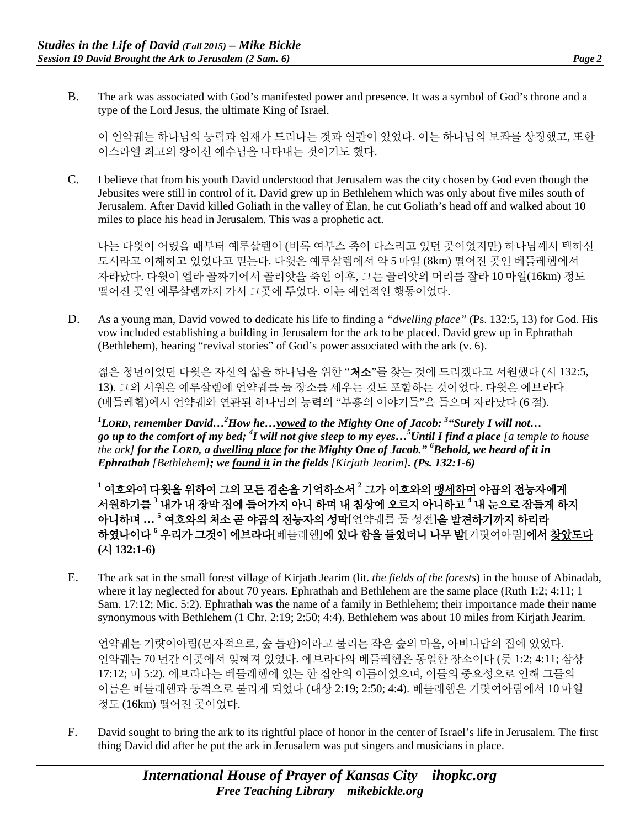B. The ark was associated with God's manifested power and presence. It was a symbol of God's throne and a type of the Lord Jesus, the ultimate King of Israel.

이 언약궤는 하나님의 능력과 임재가 드러나는 것과 연관이 있었다. 이는 하나님의 보좌를 상징했고, 또한 이스라엘 최고의 왕이신 예수님을 나타내는 것이기도 했다.

C. I believe that from his youth David understood that Jerusalem was the city chosen by God even though the Jebusites were still in control of it. David grew up in Bethlehem which was only about five miles south of Jerusalem. After David killed Goliath in the valley of Élan, he cut Goliath's head off and walked about 10 miles to place his head in Jerusalem. This was a prophetic act.

나는 다윗이 어렸을 때부터 예루살렘이 (비록 여부스 족이 다스리고 있던 곳이었지만) 하나님께서 택하신 도시라고 이해하고 있었다고 믿는다. 다윗은 예루살렘에서 약 5 마일 (8km) 떨어진 곳인 베들레헴에서 자라났다. 다윗이 엘라 골짜기에서 골리앗을 죽인 이후, 그는 골리앗의 머리를 잘라 10 마일(16km) 정도 떨어진 곳인 예루살렘까지 가서 그곳에 두었다. 이는 예언적인 행동이었다.

D. As a young man, David vowed to dedicate his life to finding a *"dwelling place"* (Ps. 132:5, 13) for God. His vow included establishing a building in Jerusalem for the ark to be placed. David grew up in Ephrathah (Bethlehem), hearing "revival stories" of God's power associated with the ark (v. 6).

젊은 청년이었던 다윗은 자신의 삶을 하나님을 위한 "**처소**"를 찾는 것에 드리겠다고 서워했다 (시 132:5, 13). 그의 서원은 예루살렘에 언약궤를 둘 장소를 세우는 것도 포함하는 것이었다. 다윗은 에브라다 (베들레헴)에서 언약궤와 연관된 하나님의 능력의 "부흥의 이야기들"을 들으며 자라났다 (6 절).

*1 LORD, remember David…2 How he…vowed to the Mighty One of Jacob: 3 "Surely I will not… go up to the comfort of my bed; 4 I will not give sleep to my eyes…5 Until I find a place [a temple to house the ark] for the LORD, a dwelling place for the Mighty One of Jacob." 6 Behold, we heard of it in Ephrathah [Bethlehem]; we found it in the fields [Kirjath Jearim]. (Ps. 132:1-6)*

**<sup>1</sup>** 여호와여 다윗을 위하여 그의 모든 겸손을 기억하소서 **<sup>2</sup>** 그가 여호와의 맹세하며 야곱의 전능자에게 서원하기를 **<sup>3</sup>** 내가 내 장막 집에 들어가지 아니 하며 내 침상에 오르지 아니하고 **<sup>4</sup>** 내 눈으로 잠들게 하지 아니하며 **… <sup>5</sup>** 여호와의 처소 곧 야곱의 전능자의 성막[언약궤를 둘 성전]을 발견하기까지 하리라 하였나이다 **<sup>6</sup>** 우리가 그것이 에브라다[베들레헴]에 있다 함을 들었더니 나무 밭[기럇여아림]에서 찾았도다 **(**시 **132:1-6)**

E. The ark sat in the small forest village of Kirjath Jearim (lit. *the fields of the forests*) in the house of Abinadab, where it lay neglected for about 70 years. Ephrathah and Bethlehem are the same place (Ruth 1:2; 4:11; 1 Sam. 17:12; Mic. 5:2). Ephrathah was the name of a family in Bethlehem; their importance made their name synonymous with Bethlehem (1 Chr. 2:19; 2:50; 4:4). Bethlehem was about 10 miles from Kirjath Jearim.

언약궤는 기럇여아림(문자적으로, 숲 들판)이라고 불리는 작은 숲의 마을, 아비나답의 집에 있었다. 언약궤는 70 년간 이곳에서 잊혀져 있었다. 에브라다와 베들레헴은 동일한 장소이다 (룻 1:2; 4:11; 삼상 17:12; 미 5:2). 에브라다는 베들레헴에 있는 한 집안의 이름이었으며, 이들의 중요성으로 인해 그들의 이름은 베들레헴과 동격으로 불리게 되었다 (대상 2:19; 2:50; 4:4). 베들레헴은 기럇여아림에서 10 마일 정도 (16km) 떨어진 곳이었다.

F. David sought to bring the ark to its rightful place of honor in the center of Israel's life in Jerusalem. The first thing David did after he put the ark in Jerusalem was put singers and musicians in place.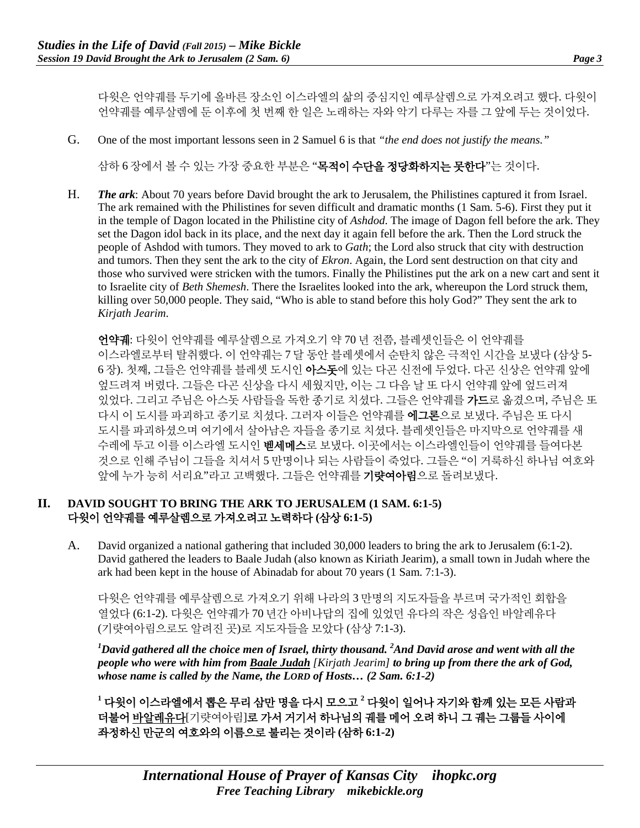다윗은 언약궤를 두기에 올바른 장소인 이스라엘의 삶의 중심지인 예루살렘으로 가져오려고 했다. 다윗이 언약궤를 예루살렘에 둔 이후에 첫 번째 한 일은 노래하는 자와 악기 다루는 자를 그 앞에 두는 것이었다.

G. One of the most important lessons seen in 2 Samuel 6 is that *"the end does not justify the means."* 

삼하 6 장에서 볼 수 있는 가장 중요한 부분은 "목적이 수단을 정당화하지는 못한다"는 것이다.

H. *The ark*: About 70 years before David brought the ark to Jerusalem, the Philistines captured it from Israel. The ark remained with the Philistines for seven difficult and dramatic months (1 Sam. 5-6). First they put it in the temple of Dagon located in the Philistine city of *Ashdod*. The image of Dagon fell before the ark. They set the Dagon idol back in its place, and the next day it again fell before the ark. Then the Lord struck the people of Ashdod with tumors. They moved to ark to *Gath*; the Lord also struck that city with destruction and tumors. Then they sent the ark to the city of *Ekron*. Again, the Lord sent destruction on that city and those who survived were stricken with the tumors. Finally the Philistines put the ark on a new cart and sent it to Israelite city of *Beth Shemesh*. There the Israelites looked into the ark, whereupon the Lord struck them, killing over 50,000 people. They said, "Who is able to stand before this holy God?" They sent the ark to *Kirjath Jearim*.

언약궤: 다윗이 언약궤를 예루살렘으로 가져오기 약 70 년 전쯤, 블레셋인들은 이 언약궤를 이스라엘로부터 탈취했다. 이 언약궤는 7 달 동안 블레셋에서 순탄치 않은 극적인 시간을 보냈다 (삼상 5- 6 장). 첫째, 그들은 언약궤를 블레셋 도시인 아스돗에 있는 다곤 신전에 두었다. 다곤 신상은 언약궤 앞에 엎드려져 버렸다. 그들은 다곤 신상을 다시 세웠지만, 이는 그 다음 날 또 다시 언약궤 앞에 엎드러져 있었다. 그리고 주님은 아스돗 사람들을 독한 종기로 치셨다. 그들은 언약궤를 가드로 옮겼으며, 주님은 또 다시 이 도시를 파괴하고 종기로 치셨다. 그러자 이들은 언약궤를 에그론으로 보냈다. 주님은 또 다시 도시를 파괴하셨으며 여기에서 살아남은 자들을 종기로 치셨다. 블레셋인들은 마지막으로 언약궤를 새 수레에 두고 이를 이스라엘 도시인 벧세메스로 보냈다. 이곳에서는 이스라엘인들이 언약궤를 들여다본 것으로 인해 주님이 그들을 치셔서 5 만명이나 되는 사람들이 죽었다. 그들은 "이 거룩하신 하나님 여호와 앞에 누가 능히 서리요"라고 고백했다. 그들은 언약궤를 기럇여아림으로 돌려보냈다.

#### **II. DAVID SOUGHT TO BRING THE ARK TO JERUSALEM (1 SAM. 6:1-5)** 다윗이 언약궤를 예루살렘으로 가져오려고 노력하다 **(**삼상 **6:1-5)**

A. David organized a national gathering that included 30,000 leaders to bring the ark to Jerusalem (6:1-2). David gathered the leaders to Baale Judah (also known as Kiriath Jearim), a small town in Judah where the ark had been kept in the house of Abinadab for about 70 years (1 Sam. 7:1-3).

다윗은 언약궤를 예루살렘으로 가져오기 위해 나라의 3 만명의 지도자들을 부르며 국가적인 회합을 열었다 (6:1-2). 다윗은 언약궤가 70 년간 아비나답의 집에 있었던 유다의 작은 성읍인 바알레유다 (기럇여아림으로도 알려진 곳)로 지도자들을 모았다 (삼상 7:1-3).

 $^{\text{1}}$ David gathered all the choice men of Israel, thirty thousand.  $^{\text{2}}$ And David arose and went with all the *people who were with him from Baale Judah [Kirjath Jearim] to bring up from there the ark of God, whose name is called by the Name, the LORD of Hosts… (2 Sam. 6:1-2)*

**<sup>1</sup>** 다윗이 이스라엘에서 뽑은 무리 삼만 명을 다시 모으고 **<sup>2</sup>** 다윗이 일어나 자기와 함께 있는 모든 사람과 더불어 바알레유다[기럇여아림]로 가서 거기서 하나님의 궤를 메어 오려 하니 그 궤는 그룹들 사이에 좌정하신 만군의 여호와의 이름으로 불리는 것이라 **(**삼하 **6:1-2)**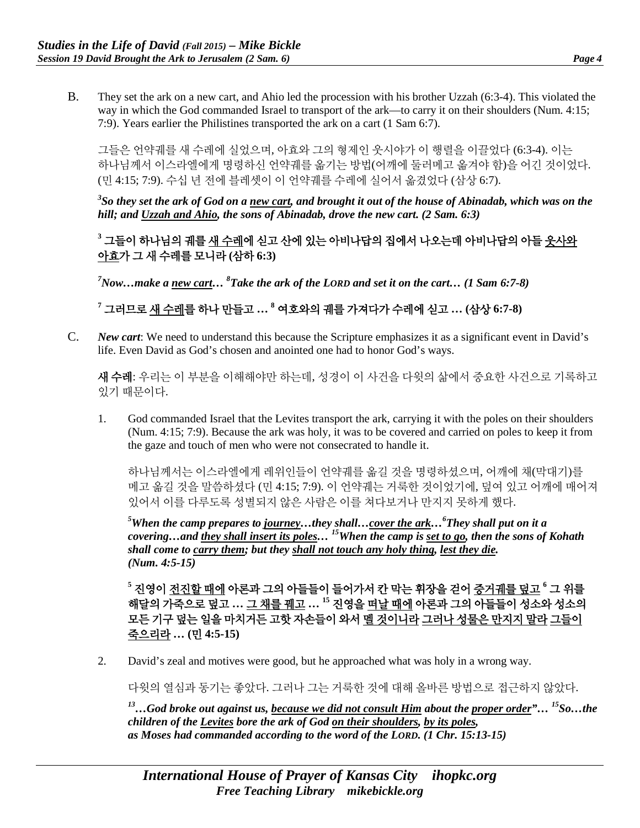B. They set the ark on a new cart, and Ahio led the procession with his brother Uzzah (6:3-4). This violated the way in which the God commanded Israel to transport of the ark—to carry it on their shoulders (Num. 4:15; 7:9). Years earlier the Philistines transported the ark on a cart (1 Sam 6:7).

그들은 언약궤를 새 수레에 실었으며, 아효와 그의 형제인 웃시야가 이 행렬을 이끌었다 (6:3-4). 이는 하나님께서 이스라엘에게 명령하신 언약궤를 옮기는 방법(어깨에 둘러메고 옮겨야 함)을 어긴 것이었다. (민 4:15; 7:9). 수십 년 전에 블레셋이 이 언약궤를 수레에 실어서 옮겼었다 (삼상 6:7).

*3 So they set the ark of God on a new cart, and brought it out of the house of Abinadab, which was on the hill; and Uzzah and Ahio, the sons of Abinadab, drove the new cart. (2 Sam. 6:3)*

**<sup>3</sup>** 그들이 하나님의 궤를 새 수레에 싣고 산에 있는 아비나답의 집에서 나오는데 아비나답의 아들 웃사와 아효가 그 새 수레를 모니라 **(**삼하 **6:3)**

*7 Now…make a new cart… <sup>8</sup> Take the ark of the LORD and set it on the cart… (1 Sam 6:7-8)*

**<sup>7</sup>** 그러므로 새 수레를 하나 만들고 **… <sup>8</sup>** 여호와의 궤를 가져다가 수레에 싣고 **… (**삼상 **6:7-8)**

C. *New cart*: We need to understand this because the Scripture emphasizes it as a significant event in David's life. Even David as God's chosen and anointed one had to honor God's ways.

새 수레: 우리는 이 부분을 이해해야만 하는데, 성경이 이 사건을 다윗의 삶에서 중요한 사건으로 기록하고 있기 때문이다.

1. God commanded Israel that the Levites transport the ark, carrying it with the poles on their shoulders (Num. 4:15; 7:9). Because the ark was holy, it was to be covered and carried on poles to keep it from the gaze and touch of men who were not consecrated to handle it.

하나님께서는 이스라엘에게 레위인들이 언약궤를 옮길 것을 명령하셨으며, 어깨에 채(막대기)를 메고 옮길 것을 말씀하셨다 (민 4:15; 7:9). 이 언약궤는 거룩한 것이었기에, 덮여 있고 어깨에 매어져 있어서 이를 다루도록 성별되지 않은 사람은 이를 쳐다보거나 만지지 못하게 했다.

*5 When the camp prepares to journey…they shall…cover the ark…6 They shall put on it a covering…and they shall insert its poles… 15When the camp is set to go, then the sons of Kohath shall come to carry them; but they shall not touch any holy thing, lest they die. (Num. 4:5-15)*

**<sup>5</sup>** 진영이 전진할 때에 아론과 그의 아들들이 들어가서 칸 막는 휘장을 걷어 증거궤를 덮고 **<sup>6</sup>** 그 위를 해달의 가죽으로 덮고 **…** 그 채를 꿰고 **… <sup>15</sup>** 진영을 떠날 때에 아론과 그의 아들들이 성소와 성소의 모든 기구 덮는 일을 마치거든 고핫 자손들이 와서 멜 것이니라 그러나 성물은 만지지 말라 그들이 죽으리라 **… (**민 **4:5-15)**

2. David's zeal and motives were good, but he approached what was holy in a wrong way.

다윗의 열심과 동기는 좋았다. 그러나 그는 거룩한 것에 대해 올바른 방법으로 접근하지 않았다.

*13…God broke out against us, because we did not consult Him about the proper order"… 15So…the children of the Levites bore the ark of God on their shoulders, by its poles, as Moses had commanded according to the word of the LORD. (1 Chr. 15:13-15)*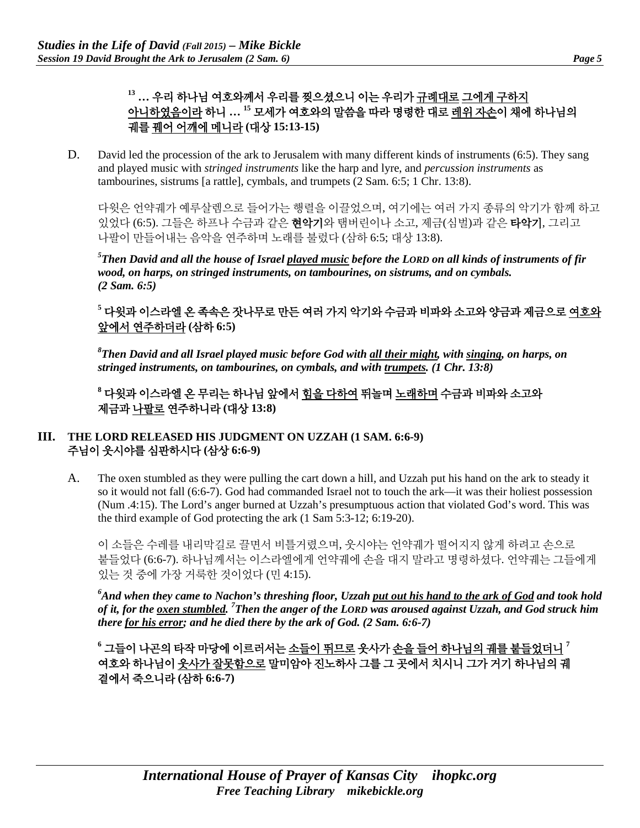# **<sup>13</sup> …** 우리 하나님 여호와께서 우리를 찢으셨으니 이는 우리가 규례대로 그에게 구하지 아니하였음이라 하니 **… <sup>15</sup>** 모세가 여호와의 말씀을 따라 명령한 대로 레위 자손이 채에 하나님의 궤를 꿰어 어깨에 메니라 **(**대상 **15:13-15)**

D. David led the procession of the ark to Jerusalem with many different kinds of instruments (6:5). They sang and played music with *stringed instruments* like the harp and lyre, and *percussion instruments* as tambourines, sistrums [a rattle], cymbals, and trumpets (2 Sam. 6:5; 1 Chr. 13:8).

다윗은 언약궤가 예루살렘으로 들어가는 행렬을 이끌었으며, 여기에는 여러 가지 종류의 악기가 함께 하고 있었다 (6:5). 그들은 하프나 수금과 같은 현악기와 탬버린이나 소고, 제금(심벌)과 같은 타악기, 그리고 나팔이 만들어내는 음악을 연주하며 노래를 불렀다 (삼하 6:5; 대상 13:8).

*5 Then David and all the house of Israel played music before the LORD on all kinds of instruments of fir wood, on harps, on stringed instruments, on tambourines, on sistrums, and on cymbals. (2 Sam. 6:5)*

## **<sup>5</sup>** 다윗과 이스라엘 온 족속은 잣나무로 만든 여러 가지 악기와 수금과 비파와 소고와 양금과 제금으로 여호와 앞에서 연주하더라 **(**삼하 **6:5)**

*8 Then David and all Israel played music before God with all their might, with singing, on harps, on stringed instruments, on tambourines, on cymbals, and with trumpets. (1 Chr. 13:8)*

**<sup>8</sup>** 다윗과 이스라엘 온 무리는 하나님 앞에서 힘을 다하여 뛰놀며 노래하며 수금과 비파와 소고와 제금과 나팔로 연주하니라 **(**대상 **13:8)**

## **III. THE LORD RELEASED HIS JUDGMENT ON UZZAH (1 SAM. 6:6-9)** 주님이 웃시야를 심판하시다 **(**삼상 **6:6-9)**

A. The oxen stumbled as they were pulling the cart down a hill, and Uzzah put his hand on the ark to steady it so it would not fall (6:6-7). God had commanded Israel not to touch the ark—it was their holiest possession (Num .4:15). The Lord's anger burned at Uzzah's presumptuous action that violated God's word. This was the third example of God protecting the ark (1 Sam 5:3-12; 6:19-20).

이 소들은 수레를 내리막길로 끌면서 비틀거렸으며, 웃시야는 언약궤가 떨어지지 않게 하려고 손으로 붙들었다 (6:6-7). 하나님께서는 이스라엘에게 언약궤에 손을 대지 말라고 명령하셨다. 언약궤는 그들에게 있는 것 중에 가장 거룩한 것이었다 (민 4:15).

*6 And when they came to Nachon's threshing floor, Uzzah put out his hand to the ark of God and took hold of it, for the oxen stumbled. 7 Then the anger of the LORD was aroused against Uzzah, and God struck him there for his error; and he died there by the ark of God. (2 Sam. 6:6-7)*

**<sup>6</sup>** 그들이 나곤의 타작 마당에 이르러서는 소들이 뛰므로 웃사가 손을 들어 하나님의 궤를 붙들었더니 **<sup>7</sup>** 여호와 하나님이 웃사가 잘못함으로 말미암아 진노하사 그를 그 곳에서 치시니 그가 거기 하나님의 궤 곁에서 죽으니라 **(**삼하 **6:6-7)**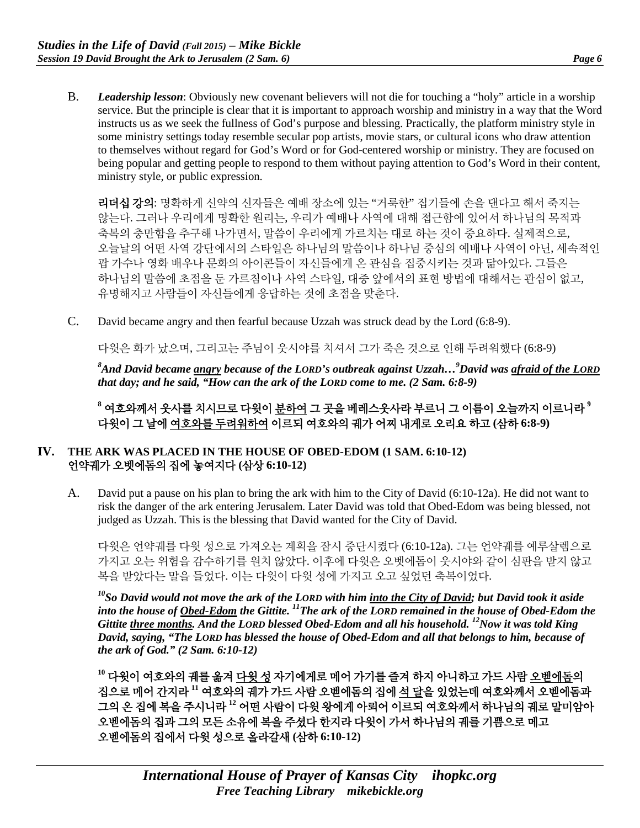B. *Leadership lesson*: Obviously new covenant believers will not die for touching a "holy" article in a worship service. But the principle is clear that it is important to approach worship and ministry in a way that the Word instructs us as we seek the fullness of God's purpose and blessing. Practically, the platform ministry style in some ministry settings today resemble secular pop artists, movie stars, or cultural icons who draw attention to themselves without regard for God's Word or for God-centered worship or ministry. They are focused on being popular and getting people to respond to them without paying attention to God's Word in their content, ministry style, or public expression.

리더십 강의: 명확하게 신약의 신자들은 예배 장소에 있는 "거룩한" 집기들에 손을 댄다고 해서 죽지는 않는다. 그러나 우리에게 명확한 원리는, 우리가 예배나 사역에 대해 접근함에 있어서 하나님의 목적과 축복의 충만함을 추구해 나가면서, 말씀이 우리에게 가르치는 대로 하는 것이 중요하다. 실제적으로, 오늘날의 어떤 사역 강단에서의 스타일은 하나님의 말씀이나 하나님 중심의 예배나 사역이 아닌, 세속적인 팝 가수나 영화 배우나 문화의 아이콘들이 자신들에게 온 관심을 집중시키는 것과 닮아있다. 그들은 하나님의 말씀에 초점을 둔 가르침이나 사역 스타일, 대중 앞에서의 표현 방법에 대해서는 관심이 없고, 유명해지고 사람들이 자신들에게 응답하는 것에 초점을 맞춘다.

C. David became angry and then fearful because Uzzah was struck dead by the Lord (6:8-9).

다윗은 화가 났으며, 그리고는 주님이 웃시야를 치셔서 그가 죽은 것으로 인해 두려워했다 (6:8-9)

*8 And David became angry because of the LORD's outbreak against Uzzah…9 David was afraid of the LORD that day; and he said, "How can the ark of the LORD come to me. (2 Sam. 6:8-9)*

**<sup>8</sup>** 여호와께서 웃사를 치시므로 다윗이 분하여 그 곳을 베레스웃사라 부르니 그 이름이 오늘까지 이르니라 **<sup>9</sup>** 다윗이 그 날에 여호와를 두려워하여 이르되 여호와의 궤가 어찌 내게로 오리요 하고 **(**삼하 **6:8-9)**

#### **IV. THE ARK WAS PLACED IN THE HOUSE OF OBED-EDOM (1 SAM. 6:10-12)** 언약궤가 오벳에돔의 집에 놓여지다 **(**삼상 **6:10-12)**

A. David put a pause on his plan to bring the ark with him to the City of David (6:10-12a). He did not want to risk the danger of the ark entering Jerusalem. Later David was told that Obed-Edom was being blessed, not judged as Uzzah. This is the blessing that David wanted for the City of David.

다윗은 언약궤를 다윗 성으로 가져오는 계획을 잠시 중단시켰다 (6:10-12a). 그는 언약궤를 예루살렘으로 가지고 오는 위험을 감수하기를 원치 않았다. 이후에 다윗은 오벳에돔이 웃시야와 같이 심판을 받지 않고 복을 받았다는 말을 들었다. 이는 다윗이 다윗 성에 가지고 오고 싶었던 축복이었다.

*10So David would not move the ark of the LORD with him into the City of David; but David took it aside into the house of Obed-Edom the Gittite. 11The ark of the LORD remained in the house of Obed-Edom the Gittite three months. And the LORD blessed Obed-Edom and all his household. 12Now it was told King David, saying, "The LORD has blessed the house of Obed-Edom and all that belongs to him, because of the ark of God." (2 Sam. 6:10-12)*

**<sup>10</sup>** 다윗이 여호와의 궤를 옮겨 다윗 성 자기에게로 메어 가기를 즐겨 하지 아니하고 가드 사람 오벧에돔의 집으로 메어 간지라 **<sup>11</sup>** 여호와의 궤가 가드 사람 오벧에돔의 집에 석 달을 있었는데 여호와께서 오벧에돔과 그의 온 집에 복을 주시니라 **<sup>12</sup>** 어떤 사람이 다윗 왕에게 아뢰어 이르되 여호와께서 하나님의 궤로 말미암아 오벧에돔의 집과 그의 모든 소유에 복을 주셨다 한지라 다윗이 가서 하나님의 궤를 기쁨으로 메고 오벧에돔의 집에서 다윗 성으로 올라갈새 **(**삼하 **6:10-12)**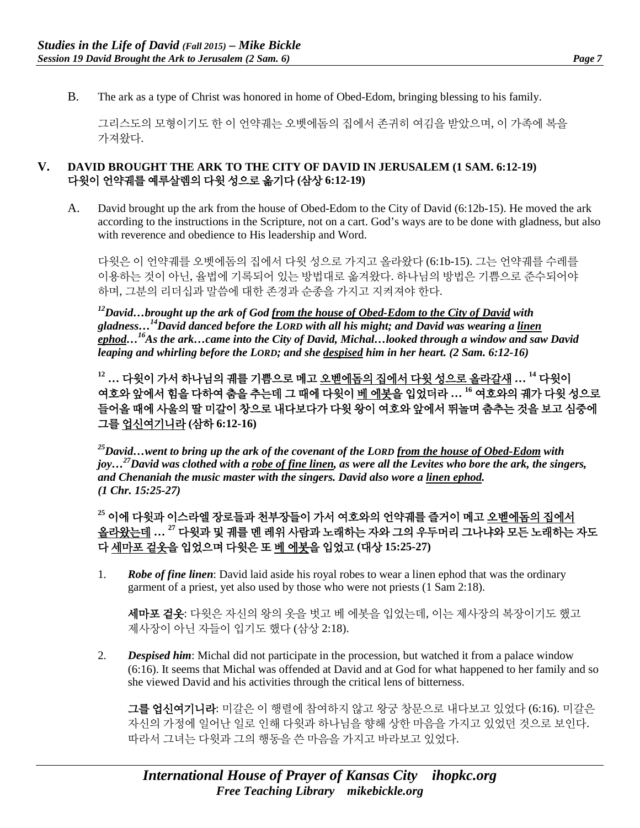- 
- B. The ark as a type of Christ was honored in home of Obed-Edom, bringing blessing to his family.

그리스도의 모형이기도 한 이 언약궤는 오벳에돔의 집에서 존귀히 여김을 받았으며, 이 가족에 복을 가져왔다.

#### **V. DAVID BROUGHT THE ARK TO THE CITY OF DAVID IN JERUSALEM (1 SAM. 6:12-19)** 다윗이 언약궤를 예루살렘의 다윗 성으로 옮기다 **(**삼상 **6:12-19)**

A. David brought up the ark from the house of Obed-Edom to the City of David (6:12b-15). He moved the ark according to the instructions in the Scripture, not on a cart. God's ways are to be done with gladness, but also with reverence and obedience to His leadership and Word.

다윗은 이 언약궤를 오벳에돔의 집에서 다윗 성으로 가지고 올라왔다 (6:1b-15). 그는 언약궤를 수레를 이용하는 것이 아닌, 율법에 기록되어 있는 방법대로 옮겨왔다. 하나님의 방법은 기쁨으로 준수되어야 하며, 그분의 리더십과 말씀에 대한 존경과 순종을 가지고 지켜져야 한다.

*12David…brought up the ark of God from the house of Obed-Edom to the City of David with gladness…14David danced before the LORD with all his might; and David was wearing a linen ephod…16As the ark…came into the City of David, Michal…looked through a window and saw David leaping and whirling before the LORD; and she despised him in her heart. (2 Sam. 6:12-16)*

**<sup>12</sup> …** 다윗이 가서 하나님의 궤를 기쁨으로 메고 오벧에돔의 집에서 다윗 성으로 올라갈새 **… <sup>14</sup>** 다윗이 여호와 앞에서 힘을 다하여 춤을 추는데 그 때에 다윗이 베 에봇을 입었더라 **… <sup>16</sup>** 여호와의 궤가 다윗 성으로 들어올 때에 사울의 딸 미갈이 창으로 내다보다가 다윗 왕이 여호와 앞에서 뛰놀며 춤추는 것을 보고 심중에 그를 업신여기니라 **(**삼하 **6:12-16)**

*25David…went to bring up the ark of the covenant of the LORD from the house of Obed-Edom with joy…27David was clothed with a robe of fine linen, as were all the Levites who bore the ark, the singers, and Chenaniah the music master with the singers. David also wore a linen ephod. (1 Chr. 15:25-27)*

**<sup>25</sup>** 이에 다윗과 이스라엘 장로들과 천부장들이 가서 여호와의 언약궤를 즐거이 메고 오벧에돔의 집에서 올라왔는데 **… <sup>27</sup>** 다윗과 및 궤를 멘 레위 사람과 노래하는 자와 그의 우두머리 그나냐와 모든 노래하는 자도 다 세마포 겉옷을 입었으며 다윗은 또 베 에봇을 입었고 **(**대상 **15:25-27)**

1. *Robe of fine linen*: David laid aside his royal robes to wear a linen ephod that was the ordinary garment of a priest, yet also used by those who were not priests (1 Sam 2:18).

세마포 겉옷: 다윗은 자신의 왕의 옷을 벗고 베 에봇을 입었는데, 이는 제사장의 복장이기도 했고 제사장이 아닌 자들이 입기도 했다 (삼상 2:18).

2. *Despised him*: Michal did not participate in the procession, but watched it from a palace window (6:16). It seems that Michal was offended at David and at God for what happened to her family and so she viewed David and his activities through the critical lens of bitterness.

그를 업신여기니라: 미갈은 이 행렬에 참여하지 않고 왕궁 창문으로 내다보고 있었다 (6:16). 미갈은 자신의 가정에 일어난 일로 인해 다윗과 하나님을 향해 상한 마음을 가지고 있었던 것으로 보인다. 따라서 그녀는 다윗과 그의 행동을 쓴 마음을 가지고 바라보고 있었다.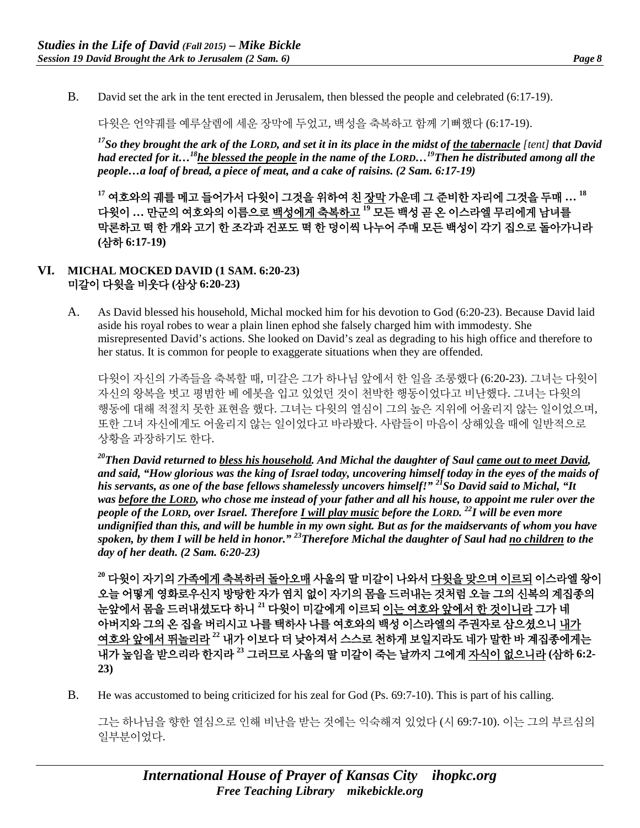B. David set the ark in the tent erected in Jerusalem, then blessed the people and celebrated (6:17-19).

다윗은 언약궤를 예루살렘에 세운 장막에 두었고, 백성을 축복하고 함께 기뻐했다 (6:17-19).

*17So they brought the ark of the LORD, and set it in its place in the midst of the tabernacle [tent] that David had erected for it…18he blessed the people in the name of the LORD…19Then he distributed among all the people…a loaf of bread, a piece of meat, and a cake of raisins. (2 Sam. 6:17-19)*

**<sup>17</sup>** 여호와의 궤를 메고 들어가서 다윗이 그것을 위하여 친 장막 가운데 그 준비한 자리에 그것을 두매 **… <sup>18</sup>** 다윗이 **…** 만군의 여호와의 이름으로 백성에게 축복하고 **<sup>19</sup>** 모든 백성 곧 온 이스라엘 무리에게 남녀를 막론하고 떡 한 개와 고기 한 조각과 건포도 떡 한 덩이씩 나누어 주매 모든 백성이 각기 집으로 돌아가니라 **(**삼하 **6:17-19)**

### **VI. MICHAL MOCKED DAVID (1 SAM. 6:20-23)** 미갈이 다윗을 비웃다 **(**삼상 **6:20-23)**

A. As David blessed his household, Michal mocked him for his devotion to God (6:20-23). Because David laid aside his royal robes to wear a plain linen ephod she falsely charged him with immodesty. She misrepresented David's actions. She looked on David's zeal as degrading to his high office and therefore to her status. It is common for people to exaggerate situations when they are offended.

다윗이 자신의 가족들을 축복할 때, 미갈은 그가 하나님 앞에서 한 일을 조롱했다 (6:20-23). 그녀는 다윗이 자신의 왕복을 벗고 평범한 베 에봇을 입고 있었던 것이 천박한 행동이었다고 비난했다. 그녀는 다윗의 행동에 대해 적절치 못한 표현을 했다. 그녀는 다윗의 열심이 그의 높은 지위에 어울리지 않는 일이었으며, 또한 그녀 자신에게도 어울리지 않는 일이었다고 바라봤다. 사람들이 마음이 상해있을 때에 일반적으로 상황을 과장하기도 한다.

*20Then David returned to bless his household. And Michal the daughter of Saul came out to meet David, and said, "How glorious was the king of Israel today, uncovering himself today in the eyes of the maids of*  his servants, as one of the base fellows shamelessly uncovers himself!"<sup>21</sup>So David said to Michal, "It *was before the LORD, who chose me instead of your father and all his house, to appoint me ruler over the people of the LORD, over Israel. Therefore I will play music before the LORD. 22I will be even more undignified than this, and will be humble in my own sight. But as for the maidservants of whom you have spoken, by them I will be held in honor." 23Therefore Michal the daughter of Saul had no children to the day of her death. (2 Sam. 6:20-23)*

**<sup>20</sup>** 다윗이 자기의 가족에게 축복하러 돌아오매 사울의 딸 미갈이 나와서 다윗을 맞으며 이르되 이스라엘 왕이 오늘 어떻게 영화로우신지 방탕한 자가 염치 없이 자기의 몸을 드러내는 것처럼 오늘 그의 신복의 계집종의 눈앞에서 몸을 드러내셨도다 하니 **<sup>21</sup>** 다윗이 미갈에게 이르되 이는 여호와 앞에서 한 것이니라 그가 네 아버지와 그의 온 집을 버리시고 나를 택하사 나를 여호와의 백성 이스라엘의 주권자로 삼으셨으니 내가 여호와 앞에서 뛰놀리라 **<sup>22</sup>** 내가 이보다 더 낮아져서 스스로 천하게 보일지라도 네가 말한 바 계집종에게는 내가 높임을 받으리라 한지라 **<sup>23</sup>** 그러므로 사울의 딸 미갈이 죽는 날까지 그에게 자식이 없으니라 **(**삼하 **6:2- 23)**

B. He was accustomed to being criticized for his zeal for God (Ps. 69:7-10). This is part of his calling.

그는 하나님을 향한 열심으로 인해 비난을 받는 것에는 익숙해져 있었다 (시 69:7-10). 이는 그의 부르심의 일부분이었다.